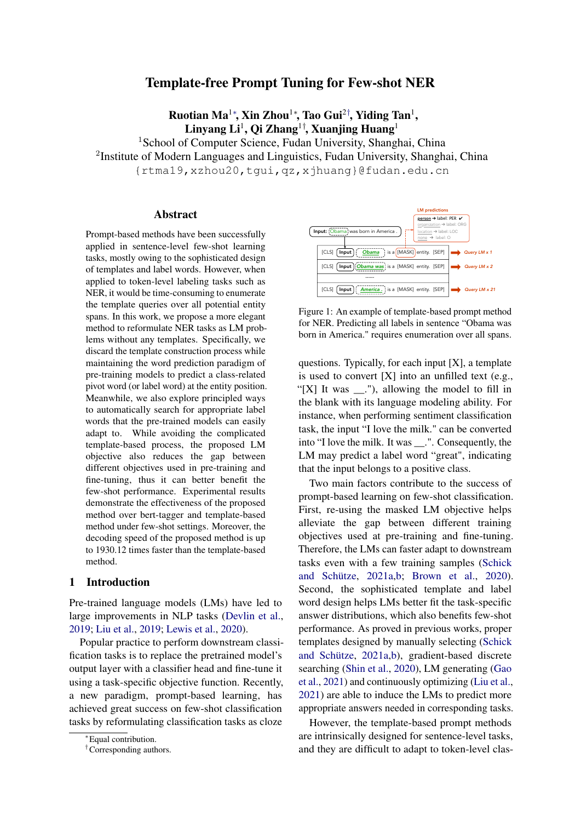# Template-free Prompt Tuning for Few-shot NER

Ruotian Ma $^{1*}$ , Xin Zhou $^{1*}$ , Tao Gui $^{2\dagger}$ , Yiding Tan $^{1}$ ,  $\mathbf{L}$ inyang  $\mathbf{L}$ i $^{1},\mathbf{Q}$ i Zhang $^{1\dagger},\mathbf{X}$ uanjing Huang $^{1}$ 

<sup>1</sup>School of Computer Science, Fudan University, Shanghai, China <sup>2</sup>Institute of Modern Languages and Linguistics, Fudan University, Shanghai, China {rtma19,xzhou20,tgui,qz,xjhuang}@fudan.edu.cn

### Abstract

Prompt-based methods have been successfully applied in sentence-level few-shot learning tasks, mostly owing to the sophisticated design of templates and label words. However, when applied to token-level labeling tasks such as NER, it would be time-consuming to enumerate the template queries over all potential entity spans. In this work, we propose a more elegant method to reformulate NER tasks as LM problems without any templates. Specifically, we discard the template construction process while maintaining the word prediction paradigm of pre-training models to predict a class-related pivot word (or label word) at the entity position. Meanwhile, we also explore principled ways to automatically search for appropriate label words that the pre-trained models can easily adapt to. While avoiding the complicated template-based process, the proposed LM objective also reduces the gap between different objectives used in pre-training and fine-tuning, thus it can better benefit the few-shot performance. Experimental results demonstrate the effectiveness of the proposed method over bert-tagger and template-based method under few-shot settings. Moreover, the decoding speed of the proposed method is up to 1930.12 times faster than the template-based method.

# 1 Introduction

Pre-trained language models (LMs) have led to large improvements in NLP tasks [\(Devlin et al.,](#page-8-0) [2019;](#page-8-0) [Liu et al.,](#page-9-0) [2019;](#page-9-0) [Lewis et al.,](#page-8-1) [2020\)](#page-8-1).

Popular practice to perform downstream classification tasks is to replace the pretrained model's output layer with a classifier head and fine-tune it using a task-specific objective function. Recently, a new paradigm, prompt-based learning, has achieved great success on few-shot classification tasks by reformulating classification tasks as cloze

<span id="page-0-0"></span>

Figure 1: An example of template-based prompt method for NER. Predicting all labels in sentence "Obama was born in America." requires enumeration over all spans.

questions. Typically, for each input  $[X]$ , a template is used to convert  $[X]$  into an unfilled text (e.g., "[X] It was  $\ldots$ "), allowing the model to fill in the blank with its language modeling ability. For instance, when performing sentiment classification task, the input "I love the milk." can be converted into "I love the milk. It was \_\_.". Consequently, the LM may predict a label word "great", indicating that the input belongs to a positive class.

Two main factors contribute to the success of prompt-based learning on few-shot classification. First, re-using the masked LM objective helps alleviate the gap between different training objectives used at pre-training and fine-tuning. Therefore, the LMs can faster adapt to downstream tasks even with a few training samples [\(Schick](#page-9-1) [and Schütze,](#page-9-1) [2021a,](#page-9-1)[b;](#page-9-2) [Brown et al.,](#page-8-2) [2020\)](#page-8-2). Second, the sophisticated template and label word design helps LMs better fit the task-specific answer distributions, which also benefits few-shot performance. As proved in previous works, proper templates designed by manually selecting [\(Schick](#page-9-1) [and Schütze,](#page-9-1) [2021a,](#page-9-1)[b\)](#page-9-2), gradient-based discrete searching [\(Shin et al.,](#page-9-3) [2020\)](#page-9-3), LM generating [\(Gao](#page-8-3) [et al.,](#page-8-3) [2021\)](#page-8-3) and continuously optimizing [\(Liu et al.,](#page-9-4) [2021\)](#page-9-4) are able to induce the LMs to predict more appropriate answers needed in corresponding tasks.

However, the template-based prompt methods are intrinsically designed for sentence-level tasks, and they are difficult to adapt to token-level clas-

<sup>∗</sup>Equal contribution.

<sup>†</sup>Corresponding authors.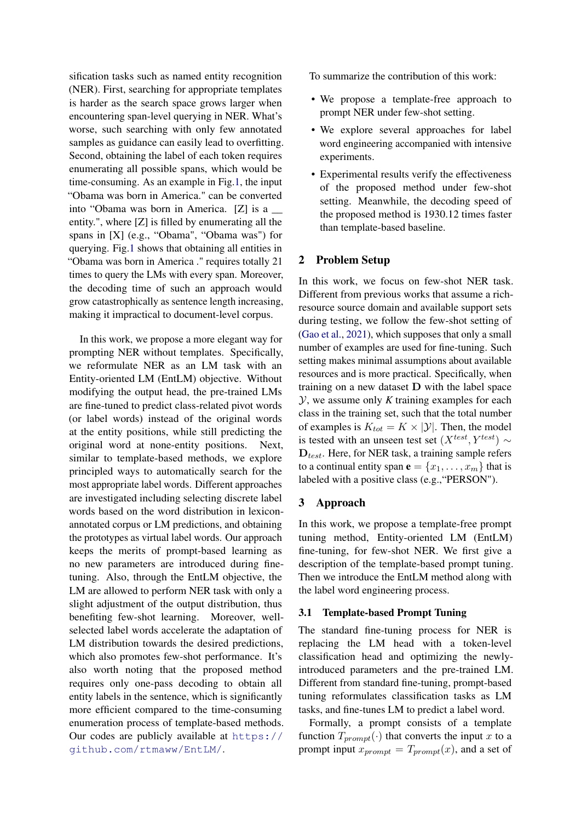sification tasks such as named entity recognition (NER). First, searching for appropriate templates is harder as the search space grows larger when encountering span-level querying in NER. What's worse, such searching with only few annotated samples as guidance can easily lead to overfitting. Second, obtaining the label of each token requires enumerating all possible spans, which would be time-consuming. As an example in Fig[.1,](#page-0-0) the input "Obama was born in America." can be converted into "Obama was born in America. [Z] is a \_\_ entity.", where [Z] is filled by enumerating all the spans in [X] (e.g., "Obama", "Obama was") for querying. Fig[.1](#page-0-0) shows that obtaining all entities in "Obama was born in America ." requires totally 21 times to query the LMs with every span. Moreover, the decoding time of such an approach would grow catastrophically as sentence length increasing, making it impractical to document-level corpus.

In this work, we propose a more elegant way for prompting NER without templates. Specifically, we reformulate NER as an LM task with an Entity-oriented LM (EntLM) objective. Without modifying the output head, the pre-trained LMs are fine-tuned to predict class-related pivot words (or label words) instead of the original words at the entity positions, while still predicting the original word at none-entity positions. Next, similar to template-based methods, we explore principled ways to automatically search for the most appropriate label words. Different approaches are investigated including selecting discrete label words based on the word distribution in lexiconannotated corpus or LM predictions, and obtaining the prototypes as virtual label words. Our approach keeps the merits of prompt-based learning as no new parameters are introduced during finetuning. Also, through the EntLM objective, the LM are allowed to perform NER task with only a slight adjustment of the output distribution, thus benefiting few-shot learning. Moreover, wellselected label words accelerate the adaptation of LM distribution towards the desired predictions, which also promotes few-shot performance. It's also worth noting that the proposed method requires only one-pass decoding to obtain all entity labels in the sentence, which is significantly more efficient compared to the time-consuming enumeration process of template-based methods. Our codes are publicly available at [https://](https://github.com/rtmaww/EntLM/) [github.com/rtmaww/EntLM/](https://github.com/rtmaww/EntLM/).

To summarize the contribution of this work:

- We propose a template-free approach to prompt NER under few-shot setting.
- We explore several approaches for label word engineering accompanied with intensive experiments.
- Experimental results verify the effectiveness of the proposed method under few-shot setting. Meanwhile, the decoding speed of the proposed method is 1930.12 times faster than template-based baseline.

# <span id="page-1-0"></span>2 Problem Setup

In this work, we focus on few-shot NER task. Different from previous works that assume a richresource source domain and available support sets during testing, we follow the few-shot setting of [\(Gao et al.,](#page-8-3) [2021\)](#page-8-3), which supposes that only a small number of examples are used for fine-tuning. Such setting makes minimal assumptions about available resources and is more practical. Specifically, when training on a new dataset D with the label space Y, we assume only *K* training examples for each class in the training set, such that the total number of examples is  $K_{tot} = K \times |\mathcal{Y}|$ . Then, the model is tested with an unseen test set  $(X<sup>test</sup>, Y<sup>test</sup>) \sim$  $D_{test}$ . Here, for NER task, a training sample refers to a continual entity span  $\mathbf{e} = \{x_1, \dots, x_m\}$  that is labeled with a positive class (e.g.,"PERSON").

# 3 Approach

In this work, we propose a template-free prompt tuning method, Entity-oriented LM (EntLM) fine-tuning, for few-shot NER. We first give a description of the template-based prompt tuning. Then we introduce the EntLM method along with the label word engineering process.

### 3.1 Template-based Prompt Tuning

The standard fine-tuning process for NER is replacing the LM head with a token-level classification head and optimizing the newlyintroduced parameters and the pre-trained LM. Different from standard fine-tuning, prompt-based tuning reformulates classification tasks as LM tasks, and fine-tunes LM to predict a label word.

Formally, a prompt consists of a template function  $T_{prompt}(\cdot)$  that converts the input x to a prompt input  $x_{prompt} = T_{prompt}(x)$ , and a set of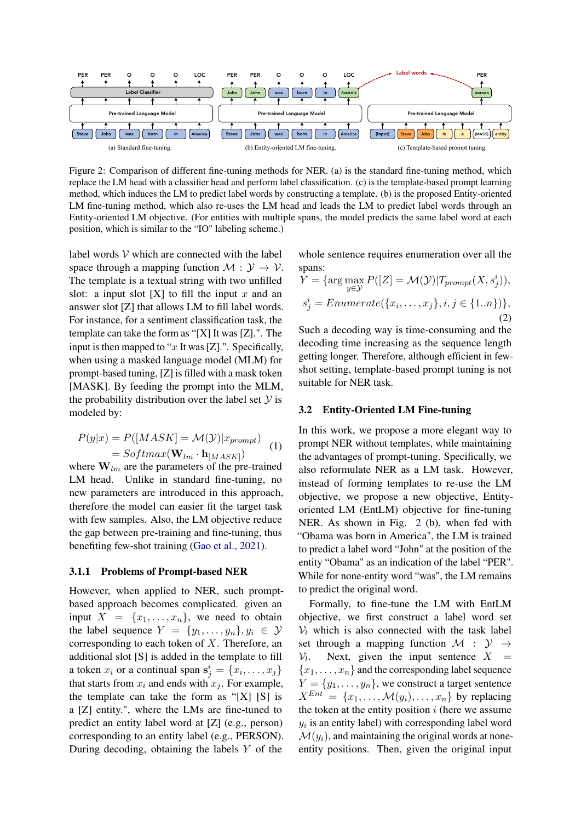<span id="page-2-0"></span>

Figure 2: Comparison of different fine-tuning methods for NER. (a) is the standard fine-tuning method, which replace the LM head with a classifier head and perform label classification. (c) is the template-based prompt learning method, which induces the LM to predict label words by constructing a template. (b) is the proposed Entity-oriented LM fine-tuning method, which also re-uses the LM head and leads the LM to predict label words through an Entity-oriented LM objective. (For entities with multiple spans, the model predicts the same label word at each position, which is similar to the "IO" labeling scheme.)

label words  $V$  which are connected with the label space through a mapping function  $M : \mathcal{Y} \to \mathcal{V}$ . The template is a textual string with two unfilled slot: a input slot  $[X]$  to fill the input x and an answer slot [Z] that allows LM to fill label words. For instance, for a sentiment classification task, the template can take the form as "[X] It was [Z].". The input is then mapped to " $x$  It was [Z].". Specifically, when using a masked language model (MLM) for prompt-based tuning, [Z] is filled with a mask token [MASK]. By feeding the prompt into the MLM, the probability distribution over the label set  $Y$  is modeled by:

$$
P(y|x) = P([MASK] = \mathcal{M}(\mathcal{Y})|x_{prompt})
$$
  
= Softmax( $\mathbf{W}_{lm} \cdot \mathbf{h}_{[MASK]}$ ) (1)

where  $W_{lm}$  are the parameters of the pre-trained LM head. Unlike in standard fine-tuning, no new parameters are introduced in this approach, therefore the model can easier fit the target task with few samples. Also, the LM objective reduce the gap between pre-training and fine-tuning, thus benefiting few-shot training [\(Gao et al.,](#page-8-3) [2021\)](#page-8-3).

### 3.1.1 Problems of Prompt-based NER

However, when applied to NER, such promptbased approach becomes complicated. given an input  $X = \{x_1, \ldots, x_n\}$ , we need to obtain the label sequence  $Y = \{y_1, \ldots, y_n\}, y_i \in \mathcal{Y}$ corresponding to each token of  $X$ . Therefore, an additional slot [S] is added in the template to fill a token  $x_i$  or a continual span  $\mathbf{s}_j^i = \{x_i, \dots, x_j\}$ that starts from  $x_i$  and ends with  $x_j$ . For example, the template can take the form as "[X] [S] is a [Z] entity.", where the LMs are fine-tuned to predict an entity label word at [Z] (e.g., person) corresponding to an entity label (e.g., PERSON). During decoding, obtaining the labels  $Y$  of the

whole sentence requires enumeration over all the spans:

$$
\overline{Y} = \{\arg\max_{y \in \mathcal{Y}} P([Z] = \mathcal{M}(\mathcal{Y}) | T_{prompt}(X, s_j^i)),
$$
  

$$
s_j^i = Enumerate(\{x_i, \dots, x_j\}, i, j \in \{1..n\})\},
$$
  
(2)

Such a decoding way is time-consuming and the decoding time increasing as the sequence length getting longer. Therefore, although efficient in fewshot setting, template-based prompt tuning is not suitable for NER task.

### 3.2 Entity-Oriented LM Fine-tuning

In this work, we propose a more elegant way to prompt NER without templates, while maintaining the advantages of prompt-tuning. Specifically, we also reformulate NER as a LM task. However, instead of forming templates to re-use the LM objective, we propose a new objective, Entityoriented LM (EntLM) objective for fine-tuning NER. As shown in Fig. [2](#page-2-0) (b), when fed with "Obama was born in America", the LM is trained to predict a label word "John" at the position of the entity "Obama" as an indication of the label "PER". While for none-entity word "was", the LM remains to predict the original word.

Formally, to fine-tune the LM with EntLM objective, we first construct a label word set  $V_l$  which is also connected with the task label set through a mapping function  $\mathcal{M}$  :  $\mathcal{Y} \rightarrow$  $\mathcal{V}_l$ . Next, given the input sentence  $X =$  ${x_1, \ldots, x_n}$  and the corresponding label sequence  $Y = \{y_1, \ldots, y_n\}$ , we construct a target sentence  $X^{Ent} = \{x_1, \ldots, \mathcal{M}(y_i), \ldots, x_n\}$  by replacing the token at the entity position  $i$  (here we assume  $y_i$  is an entity label) with corresponding label word  $\mathcal{M}(y_i)$ , and maintaining the original words at noneentity positions. Then, given the original input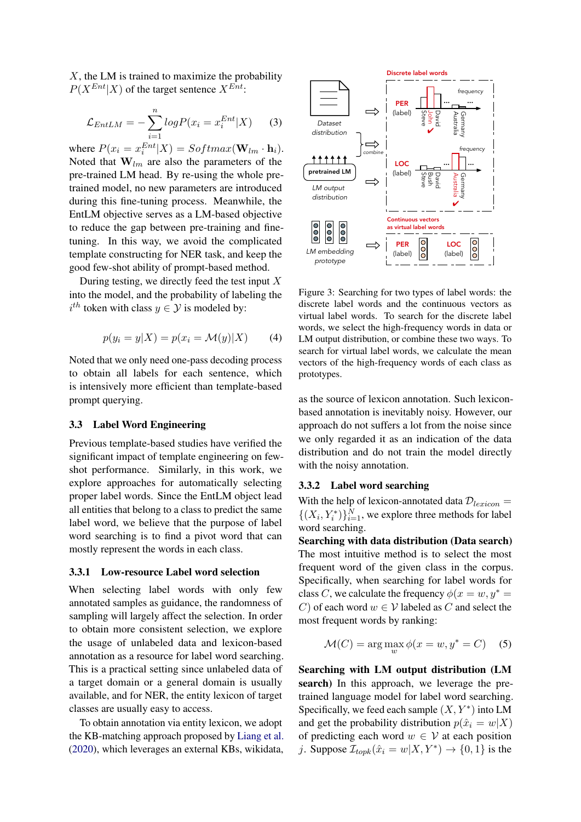$X$ , the LM is trained to maximize the probability  $P(X^{Ent}|X)$  of the target sentence  $X^{Ent}$ :

$$
\mathcal{L}_{EntLM} = -\sum_{i=1}^{n} log P(x_i = x_i^{Ent} | X)
$$
 (3)

where  $P(x_i = x_i^{Ent}|X) = Softmax(\mathbf{W}_{lm} \cdot \mathbf{h}_i)$ . Noted that  $W_{lm}$  are also the parameters of the pre-trained LM head. By re-using the whole pretrained model, no new parameters are introduced during this fine-tuning process. Meanwhile, the EntLM objective serves as a LM-based objective to reduce the gap between pre-training and finetuning. In this way, we avoid the complicated template constructing for NER task, and keep the good few-shot ability of prompt-based method.

During testing, we directly feed the test input  $X$ into the model, and the probability of labeling the  $i^{th}$  token with class  $y \in \mathcal{Y}$  is modeled by:

$$
p(y_i = y | X) = p(x_i = \mathcal{M}(y) | X)
$$
 (4)

Noted that we only need one-pass decoding process to obtain all labels for each sentence, which is intensively more efficient than template-based prompt querying.

### <span id="page-3-0"></span>3.3 Label Word Engineering

Previous template-based studies have verified the significant impact of template engineering on fewshot performance. Similarly, in this work, we explore approaches for automatically selecting proper label words. Since the EntLM object lead all entities that belong to a class to predict the same label word, we believe that the purpose of label word searching is to find a pivot word that can mostly represent the words in each class.

### 3.3.1 Low-resource Label word selection

When selecting label words with only few annotated samples as guidance, the randomness of sampling will largely affect the selection. In order to obtain more consistent selection, we explore the usage of unlabeled data and lexicon-based annotation as a resource for label word searching. This is a practical setting since unlabeled data of a target domain or a general domain is usually available, and for NER, the entity lexicon of target classes are usually easy to access.

To obtain annotation via entity lexicon, we adopt the KB-matching approach proposed by [Liang et al.](#page-8-4) [\(2020\)](#page-8-4), which leverages an external KBs, wikidata,



Figure 3: Searching for two types of label words: the discrete label words and the continuous vectors as virtual label words. To search for the discrete label words, we select the high-frequency words in data or LM output distribution, or combine these two ways. To search for virtual label words, we calculate the mean vectors of the high-frequency words of each class as prototypes.

as the source of lexicon annotation. Such lexiconbased annotation is inevitably noisy. However, our approach do not suffers a lot from the noise since we only regarded it as an indication of the data distribution and do not train the model directly with the noisy annotation.

# 3.3.2 Label word searching

With the help of lexicon-annotated data  $\mathcal{D}_{lexicon} =$  $\{(X_i, Y_i^*)\}_{i=1}^N$ , we explore three methods for label word searching.

Searching with data distribution (Data search) The most intuitive method is to select the most frequent word of the given class in the corpus. Specifically, when searching for label words for class C, we calculate the frequency  $\phi(x = w, y^*)$ C) of each word  $w \in V$  labeled as C and select the most frequent words by ranking:

$$
\mathcal{M}(C) = \arg\max_{w} \phi(x = w, y^* = C) \quad (5)
$$

Searching with LM output distribution (LM search) In this approach, we leverage the pretrained language model for label word searching. Specifically, we feed each sample  $(X, Y^*)$  into LM and get the probability distribution  $p(\hat{x}_i = w|X)$ of predicting each word  $w \in V$  at each position j. Suppose  $\mathcal{I}_{topk}(\hat{x}_i = w | X, Y^*) \rightarrow \{0, 1\}$  is the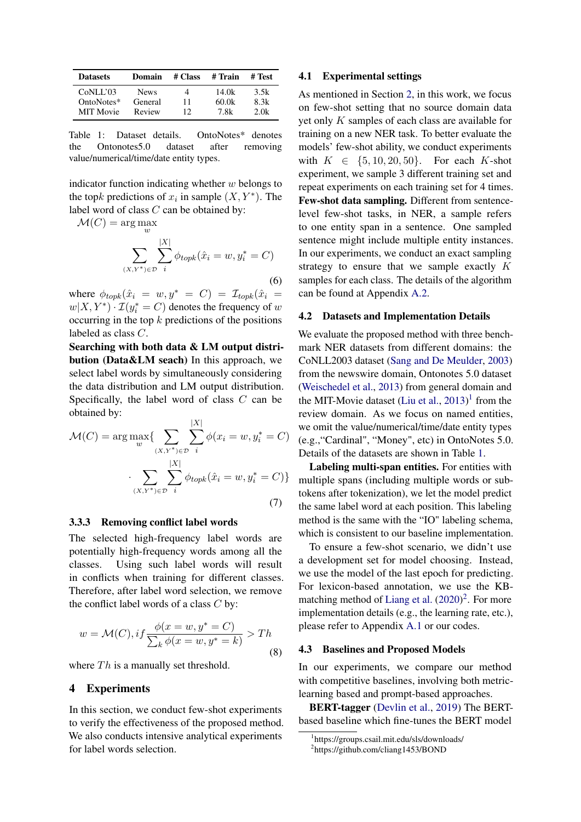<span id="page-4-1"></span>

| <b>Datasets</b>  | Domain      | # Class | # Train | # Test |
|------------------|-------------|---------|---------|--------|
| CoNLL'03         | <b>News</b> | 4       | 14.0k   | 3.5k   |
| OntoNotes*       | General     | 11      | 60.0k   | 8.3k   |
| <b>MIT Movie</b> | Review      | 12      | 7.8k    | 2.0k   |

Table 1: Dataset details. OntoNotes\* denotes the Ontonotes5.0 dataset after removing value/numerical/time/date entity types.

indicator function indicating whether  $w$  belongs to the topk predictions of  $x_i$  in sample  $(X, Y^*)$ . The label word of class  $C$  can be obtained by:

 $\mathcal{M}(C) = \arg \max_w$  $\sum$  $(X,Y^*)\in\mathcal{D}$  $\sum$  $|X|$ i  $\phi_{topk}(\hat{x}_i = w, y_i^* = C)$ (6)

where  $\phi_{topk}(\hat{x}_i = w, y^* = C) = \mathcal{I}_{topk}(\hat{x}_i =$  $w(X, Y^*) \cdot \mathcal{I}(y_i^* = C)$  denotes the frequency of  $w$ occurring in the top  $k$  predictions of the positions labeled as class C.

Searching with both data & LM output distribution (Data&LM seach) In this approach, we select label words by simultaneously considering the data distribution and LM output distribution. Specifically, the label word of class C can be obtained by:

$$
\mathcal{M}(C) = \arg \max_{w} \{ \sum_{(X,Y^*) \in \mathcal{D}} \sum_{i}^{|X|} \phi(x_i = w, y_i^* = C) \\ \cdot \sum_{(X,Y^*) \in \mathcal{D}} \sum_{i}^{|X|} \phi_{topk}(\hat{x}_i = w, y_i^* = C) \}
$$
(7)

### 3.3.3 Removing conflict label words

The selected high-frequency label words are potentially high-frequency words among all the classes. Using such label words will result in conflicts when training for different classes. Therefore, after label word selection, we remove the conflict label words of a class  $C$  by:

$$
w = \mathcal{M}(C), if \frac{\phi(x = w, y^* = C)}{\sum_k \phi(x = w, y^* = k)} > Th
$$
\n(8)

where  $Th$  is a manually set threshold.

# 4 Experiments

In this section, we conduct few-shot experiments to verify the effectiveness of the proposed method. We also conducts intensive analytical experiments for label words selection.

### 4.1 Experimental settings

As mentioned in Section [2,](#page-1-0) in this work, we focus on few-shot setting that no source domain data yet only  $K$  samples of each class are available for training on a new NER task. To better evaluate the models' few-shot ability, we conduct experiments with  $K \in \{5, 10, 20, 50\}$ . For each K-shot experiment, we sample 3 different training set and repeat experiments on each training set for 4 times. Few-shot data sampling. Different from sentencelevel few-shot tasks, in NER, a sample refers to one entity span in a sentence. One sampled sentence might include multiple entity instances. In our experiments, we conduct an exact sampling strategy to ensure that we sample exactly K samples for each class. The details of the algorithm can be found at Appendix [A.2.](#page-10-0)

### 4.2 Datasets and Implementation Details

We evaluate the proposed method with three benchmark NER datasets from different domains: the CoNLL2003 dataset [\(Sang and De Meulder,](#page-9-5) [2003\)](#page-9-5) from the newswire domain, Ontonotes 5.0 dataset [\(Weischedel et al.,](#page-9-6) [2013\)](#page-9-6) from general domain and the MIT-Movie dataset [\(Liu et al.,](#page-9-7)  $2013$  $2013$  $2013$ )<sup>1</sup> from the review domain. As we focus on named entities, we omit the value/numerical/time/date entity types (e.g.,"Cardinal", "Money", etc) in OntoNotes 5.0. Details of the datasets are shown in Table [1.](#page-4-1)

Labeling multi-span entities. For entities with multiple spans (including multiple words or subtokens after tokenization), we let the model predict the same label word at each position. This labeling method is the same with the "IO" labeling schema, which is consistent to our baseline implementation.

To ensure a few-shot scenario, we didn't use a development set for model choosing. Instead, we use the model of the last epoch for predicting. For lexicon-based annotation, we use the KB-matching method of [Liang et al.](#page-8-4)  $(2020)^2$  $(2020)^2$  $(2020)^2$ . For more implementation details (e.g., the learning rate, etc.), please refer to Appendix [A.1](#page-10-1) or our codes.

### 4.3 Baselines and Proposed Models

In our experiments, we compare our method with competitive baselines, involving both metriclearning based and prompt-based approaches.

BERT-tagger [\(Devlin et al.,](#page-8-0) [2019\)](#page-8-0) The BERTbased baseline which fine-tunes the BERT model

<span id="page-4-0"></span><sup>1</sup> https://groups.csail.mit.edu/sls/downloads/

<span id="page-4-2"></span><sup>2</sup> https://github.com/cliang1453/BOND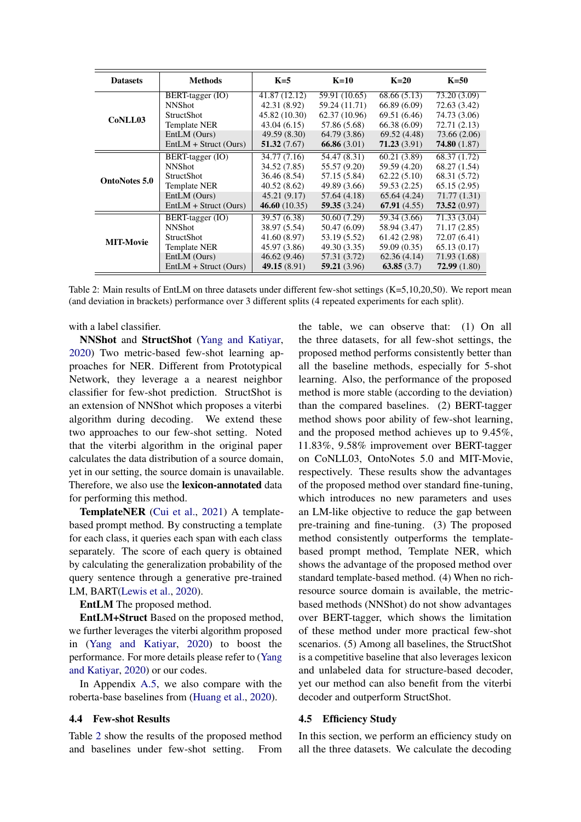<span id="page-5-0"></span>

| <b>Datasets</b>      | <b>Methods</b>          | $K=5$         | $K=10$        | $K=20$       | $K=50$       |
|----------------------|-------------------------|---------------|---------------|--------------|--------------|
| CoNLL03              | BERT-tagger (IO)        | 41.87(12.12)  | 59.91 (10.65) | 68.66 (5.13) | 73.20 (3.09) |
|                      | <b>NNShot</b>           | 42.31 (8.92)  | 59.24 (11.71) | 66.89 (6.09) | 72.63 (3.42) |
|                      | <b>StructShot</b>       | 45.82 (10.30) | 62.37(10.96)  | 69.51 (6.46) | 74.73 (3.06) |
|                      | Template NER            | 43.04 (6.15)  | 57.86 (5.68)  | 66.38 (6.09) | 72.71 (2.13) |
|                      | EntLM (Ours)            | 49.59 (8.30)  | 64.79 (3.86)  | 69.52 (4.48) | 73.66 (2.06) |
|                      | $EntLM + Struct (Ours)$ | 51.32(7.67)   | 66.86(3.01)   | 71.23(3.91)  | 74.80(1.87)  |
|                      | BERT-tagger (IO)        | 34.77 (7.16)  | 54.47 (8.31)  | 60.21 (3.89) | 68.37(1.72)  |
|                      | <b>NNShot</b>           | 34.52 (7.85)  | 55.57 (9.20)  | 59.59 (4.20) | 68.27(1.54)  |
| <b>OntoNotes 5.0</b> | <b>StructShot</b>       | 36.46 (8.54)  | 57.15 (5.84)  | 62.22(5.10)  | 68.31 (5.72) |
|                      | Template NER            | 40.52 (8.62)  | 49.89 (3.66)  | 59.53 (2.25) | 65.15(2.95)  |
|                      | EntLM (Ours)            | 45.21(9.17)   | 57.64 (4.18)  | 65.64(4.24)  | 71.77 (1.31) |
|                      | $EntLM + Struct (Ours)$ | 46.60(10.35)  | 59.35(3.24)   | 67.91(4.55)  | 73.52(0.97)  |
| <b>MIT-Movie</b>     | BERT-tagger (IO)        | 39.57 (6.38)  | 50.60 (7.29)  | 59.34 (3.66) | 71.33 (3.04) |
|                      | <b>NNShot</b>           | 38.97 (5.54)  | 50.47 (6.09)  | 58.94 (3.47) | 71.17(2.85)  |
|                      | <b>StructShot</b>       | 41.60 (8.97)  | 53.19 (5.52)  | 61.42(2.98)  | 72.07 (6.41) |
|                      | Template NER            | 45.97 (3.86)  | 49.30 (3.35)  | 59.09 (0.35) | 65.13(0.17)  |
|                      | EntLM (Ours)            | 46.62(9.46)   | 57.31 (3.72)  | 62.36(4.14)  | 71.93 (1.68) |
|                      | $EntLM + Struct (Ours)$ | 49.15(8.91)   | 59.21(3.96)   | 63.85(3.7)   | 72.99(1.80)  |

Table 2: Main results of EntLM on three datasets under different few-shot settings (K=5,10,20,50). We report mean (and deviation in brackets) performance over 3 different splits (4 repeated experiments for each split).

with a label classifier.

NNShot and StructShot [\(Yang and Katiyar,](#page-9-8) [2020\)](#page-9-8) Two metric-based few-shot learning approaches for NER. Different from Prototypical Network, they leverage a a nearest neighbor classifier for few-shot prediction. StructShot is an extension of NNShot which proposes a viterbi algorithm during decoding. We extend these two approaches to our few-shot setting. Noted that the viterbi algorithm in the original paper calculates the data distribution of a source domain, yet in our setting, the source domain is unavailable. Therefore, we also use the lexicon-annotated data for performing this method.

TemplateNER [\(Cui et al.,](#page-8-5) [2021\)](#page-8-5) A templatebased prompt method. By constructing a template for each class, it queries each span with each class separately. The score of each query is obtained by calculating the generalization probability of the query sentence through a generative pre-trained LM, BART[\(Lewis et al.,](#page-8-1) [2020\)](#page-8-1).

EntLM The proposed method.

EntLM+Struct Based on the proposed method, we further leverages the viterbi algorithm proposed in [\(Yang and Katiyar,](#page-9-8) [2020\)](#page-9-8) to boost the performance. For more details please refer to [\(Yang](#page-9-8) [and Katiyar,](#page-9-8) [2020\)](#page-9-8) or our codes.

In Appendix [A.5,](#page-10-2) we also compare with the roberta-base baselines from [\(Huang et al.,](#page-8-6) [2020\)](#page-8-6).

### 4.4 Few-shot Results

Table [2](#page-5-0) show the results of the proposed method and baselines under few-shot setting. From the table, we can observe that: (1) On all the three datasets, for all few-shot settings, the proposed method performs consistently better than all the baseline methods, especially for 5-shot learning. Also, the performance of the proposed method is more stable (according to the deviation) than the compared baselines. (2) BERT-tagger method shows poor ability of few-shot learning, and the proposed method achieves up to 9.45%, 11.83%, 9.58% improvement over BERT-tagger on CoNLL03, OntoNotes 5.0 and MIT-Movie, respectively. These results show the advantages of the proposed method over standard fine-tuning, which introduces no new parameters and uses an LM-like objective to reduce the gap between pre-training and fine-tuning. (3) The proposed method consistently outperforms the templatebased prompt method, Template NER, which shows the advantage of the proposed method over standard template-based method. (4) When no richresource source domain is available, the metricbased methods (NNShot) do not show advantages over BERT-tagger, which shows the limitation of these method under more practical few-shot scenarios. (5) Among all baselines, the StructShot is a competitive baseline that also leverages lexicon and unlabeled data for structure-based decoder, yet our method can also benefit from the viterbi decoder and outperform StructShot.

### 4.5 Efficiency Study

In this section, we perform an efficiency study on all the three datasets. We calculate the decoding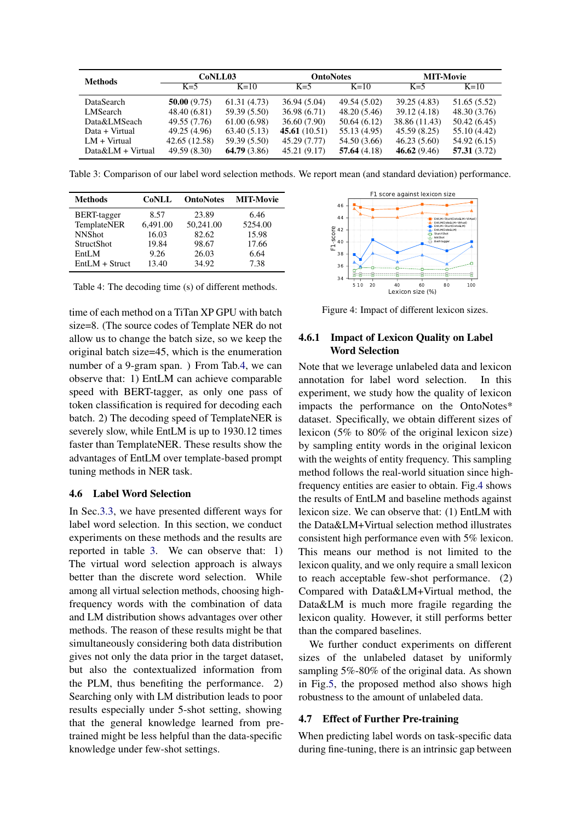<span id="page-6-1"></span>

| <b>Methods</b>      | CoNLL03       |              | <b>OntoNotes</b> |              | <b>MIT-Movie</b> |              |
|---------------------|---------------|--------------|------------------|--------------|------------------|--------------|
|                     | $K=5$         | $K=10$       | $K=5$            | $K=10$       | $K=5$            | $K=10$       |
| DataSearch          | 50.00(9.75)   | 61.31(4.73)  | 36.94(5.04)      | 49.54 (5.02) | 39.25 (4.83)     | 51.65 (5.52) |
| LMSearch            | 48.40(6.81)   | 59.39 (5.50) | 36.98(6.71)      | 48.20 (5.46) | 39.12 (4.18)     | 48.30 (3.76) |
| Data&LMSeach        | 49.55 (7.76)  | 61.00(6.98)  | 36.60 (7.90)     | 50.64(6.12)  | 38.86 (11.43)    | 50.42(6.45)  |
| Data + Virtual      | 49.25 (4.96)  | 63.40(5.13)  | 45.61(10.51)     | 55.13 (4.95) | 45.59 (8.25)     | 55.10 (4.42) |
| $LM + Virtual$      | 42.65 (12.58) | 59.39 (5.50) | 45.29 (7.77)     | 54.50 (3.66) | 46.23(5.60)      | 54.92 (6.15) |
| $Data&LM + Virtual$ | 49.59 (8.30)  | 64.79(3.86)  | 45.21 (9.17)     | 57.64(4.18)  | 46.62(9.46)      | 57.31(3.72)  |

Table 3: Comparison of our label word selection methods. We report mean (and standard deviation) performance.

<span id="page-6-0"></span>

| <b>Methods</b>      | <b>CoNLL</b> | <b>OntoNotes</b> | <b>MIT-Movie</b> |
|---------------------|--------------|------------------|------------------|
| <b>BERT-tagger</b>  | 8.57         | 23.89            | 6.46             |
| TemplateNER         | 6,491.00     | 50,241.00        | 5254.00          |
| <b>NNShot</b>       | 16.03        | 82.62            | 15.98            |
| <b>StructShot</b>   | 19.84        | 98.67            | 17.66            |
| EntLM               | 9.26         | 26.03            | 6.64             |
| $EntIM + Structure$ | 13.40        | 34.92            | 7.38             |

Table 4: The decoding time (s) of different methods.

time of each method on a TiTan XP GPU with batch size=8. (The source codes of Template NER do not allow us to change the batch size, so we keep the original batch size=45, which is the enumeration number of a 9-gram span. ) From Tab[.4,](#page-6-0) we can observe that: 1) EntLM can achieve comparable speed with BERT-tagger, as only one pass of token classification is required for decoding each batch. 2) The decoding speed of TemplateNER is severely slow, while EntLM is up to 1930.12 times faster than TemplateNER. These results show the advantages of EntLM over template-based prompt tuning methods in NER task.

### 4.6 Label Word Selection

In Sec[.3.3,](#page-3-0) we have presented different ways for label word selection. In this section, we conduct experiments on these methods and the results are reported in table [3.](#page-6-1) We can observe that: 1) The virtual word selection approach is always better than the discrete word selection. While among all virtual selection methods, choosing highfrequency words with the combination of data and LM distribution shows advantages over other methods. The reason of these results might be that simultaneously considering both data distribution gives not only the data prior in the target dataset, but also the contextualized information from the PLM, thus benefiting the performance. 2) Searching only with LM distribution leads to poor results especially under 5-shot setting, showing that the general knowledge learned from pretrained might be less helpful than the data-specific knowledge under few-shot settings.

<span id="page-6-2"></span>

Figure 4: Impact of different lexicon sizes.

# 4.6.1 Impact of Lexicon Quality on Label Word Selection

Note that we leverage unlabeled data and lexicon annotation for label word selection. In this experiment, we study how the quality of lexicon impacts the performance on the OntoNotes\* dataset. Specifically, we obtain different sizes of lexicon (5% to 80% of the original lexicon size) by sampling entity words in the original lexicon with the weights of entity frequency. This sampling method follows the real-world situation since highfrequency entities are easier to obtain. Fig[.4](#page-6-2) shows the results of EntLM and baseline methods against lexicon size. We can observe that: (1) EntLM with the Data&LM+Virtual selection method illustrates consistent high performance even with 5% lexicon. This means our method is not limited to the lexicon quality, and we only require a small lexicon to reach acceptable few-shot performance. (2) Compared with Data&LM+Virtual method, the Data&LM is much more fragile regarding the lexicon quality. However, it still performs better than the compared baselines.

We further conduct experiments on different sizes of the unlabeled dataset by uniformly sampling 5%-80% of the original data. As shown in Fig[.5,](#page-7-0) the proposed method also shows high robustness to the amount of unlabeled data.

### 4.7 Effect of Further Pre-training

When predicting label words on task-specific data during fine-tuning, there is an intrinsic gap between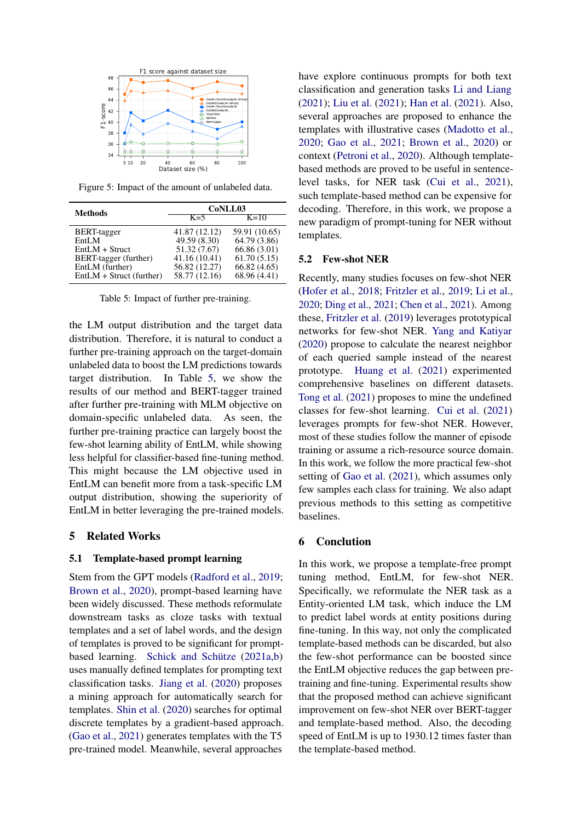<span id="page-7-0"></span>

Figure 5: Impact of the amount of unlabeled data.

<span id="page-7-1"></span>

| <b>Methods</b>             | CoNLL03       |               |  |
|----------------------------|---------------|---------------|--|
|                            | $K=5$         | $K=10$        |  |
| <b>BERT-tagger</b>         | 41.87 (12.12) | 59.91 (10.65) |  |
| EntLM                      | 49.59 (8.30)  | 64.79 (3.86)  |  |
| $EntIM + Structure$        | 51.32 (7.67)  | 66.86 (3.01)  |  |
| BERT-tagger (further)      | 41.16 (10.41) | 61.70(5.15)   |  |
| EntLM (further)            | 56.82 (12.27) | 66.82(4.65)   |  |
| $EntLM + Struct (further)$ | 58.77 (12.16) | 68.96 (4.41)  |  |

Table 5: Impact of further pre-training.

the LM output distribution and the target data distribution. Therefore, it is natural to conduct a further pre-training approach on the target-domain unlabeled data to boost the LM predictions towards target distribution. In Table [5,](#page-7-1) we show the results of our method and BERT-tagger trained after further pre-training with MLM objective on domain-specific unlabeled data. As seen, the further pre-training practice can largely boost the few-shot learning ability of EntLM, while showing less helpful for classifier-based fine-tuning method. This might because the LM objective used in EntLM can benefit more from a task-specific LM output distribution, showing the superiority of EntLM in better leveraging the pre-trained models.

## 5 Related Works

### 5.1 Template-based prompt learning

Stem from the GPT models [\(Radford et al.,](#page-9-9) [2019;](#page-9-9) [Brown et al.,](#page-8-2) [2020\)](#page-8-2), prompt-based learning have been widely discussed. These methods reformulate downstream tasks as cloze tasks with textual templates and a set of label words, and the design of templates is proved to be significant for promptbased learning. [Schick and Schütze](#page-9-1) [\(2021a,](#page-9-1)[b\)](#page-9-2) uses manually defined templates for prompting text classification tasks. [Jiang et al.](#page-8-7) [\(2020\)](#page-8-7) proposes a mining approach for automatically search for templates. [Shin et al.](#page-9-3) [\(2020\)](#page-9-3) searches for optimal discrete templates by a gradient-based approach. [\(Gao et al.,](#page-8-3) [2021\)](#page-8-3) generates templates with the T5 pre-trained model. Meanwhile, several approaches

have explore continuous prompts for both text classification and generation tasks [Li and Liang](#page-8-8) [\(2021\)](#page-8-8); [Liu et al.](#page-9-4) [\(2021\)](#page-9-4); [Han et al.](#page-8-9) [\(2021\)](#page-8-9). Also, several approaches are proposed to enhance the templates with illustrative cases [\(Madotto et al.,](#page-9-10) [2020;](#page-9-10) [Gao et al.,](#page-8-3) [2021;](#page-8-3) [Brown et al.,](#page-8-2) [2020\)](#page-8-2) or context [\(Petroni et al.,](#page-9-11) [2020\)](#page-9-11). Although templatebased methods are proved to be useful in sentencelevel tasks, for NER task [\(Cui et al.,](#page-8-5) [2021\)](#page-8-5), such template-based method can be expensive for decoding. Therefore, in this work, we propose a new paradigm of prompt-tuning for NER without templates.

### 5.2 Few-shot NER

Recently, many studies focuses on few-shot NER [\(Hofer et al.,](#page-8-10) [2018;](#page-8-10) [Fritzler et al.,](#page-8-11) [2019;](#page-8-11) [Li et al.,](#page-8-12) [2020;](#page-8-12) [Ding et al.,](#page-8-13) [2021;](#page-8-13) [Chen et al.,](#page-8-14) [2021\)](#page-8-14). Among these, [Fritzler et al.](#page-8-11) [\(2019\)](#page-8-11) leverages prototypical networks for few-shot NER. [Yang and Katiyar](#page-9-8) [\(2020\)](#page-9-8) propose to calculate the nearest neighbor of each queried sample instead of the nearest prototype. [Huang et al.](#page-8-15) [\(2021\)](#page-8-15) experimented comprehensive baselines on different datasets. [Tong et al.](#page-9-12) [\(2021\)](#page-9-12) proposes to mine the undefined classes for few-shot learning. [Cui et al.](#page-8-5) [\(2021\)](#page-8-5) leverages prompts for few-shot NER. However, most of these studies follow the manner of episode training or assume a rich-resource source domain. In this work, we follow the more practical few-shot setting of [Gao et al.](#page-8-3) [\(2021\)](#page-8-3), which assumes only few samples each class for training. We also adapt previous methods to this setting as competitive baselines.

# 6 Conclution

In this work, we propose a template-free prompt tuning method, EntLM, for few-shot NER. Specifically, we reformulate the NER task as a Entity-oriented LM task, which induce the LM to predict label words at entity positions during fine-tuning. In this way, not only the complicated template-based methods can be discarded, but also the few-shot performance can be boosted since the EntLM objective reduces the gap between pretraining and fine-tuning. Experimental results show that the proposed method can achieve significant improvement on few-shot NER over BERT-tagger and template-based method. Also, the decoding speed of EntLM is up to 1930.12 times faster than the template-based method.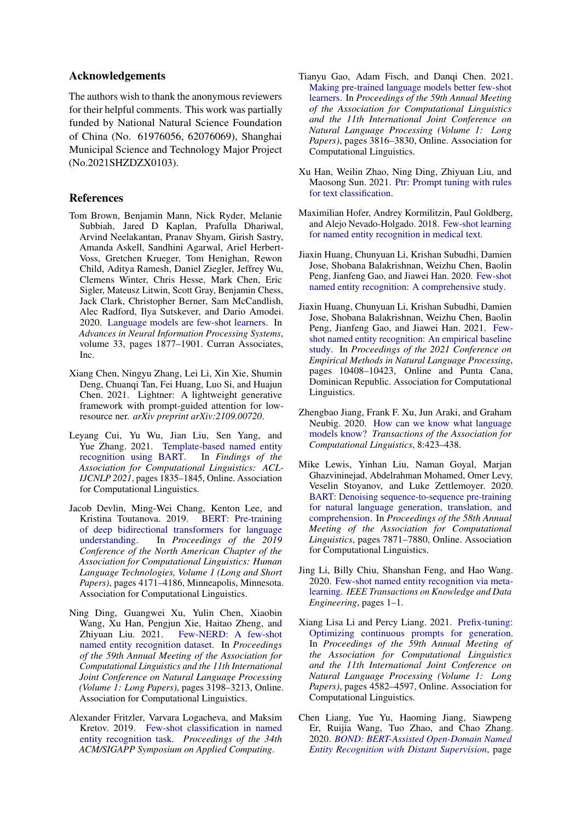# Acknowledgements

The authors wish to thank the anonymous reviewers for their helpful comments. This work was partially funded by National Natural Science Foundation of China (No. 61976056, 62076069), Shanghai Municipal Science and Technology Major Project (No.2021SHZDZX0103).

# References

- <span id="page-8-2"></span>Tom Brown, Benjamin Mann, Nick Ryder, Melanie Subbiah, Jared D Kaplan, Prafulla Dhariwal, Arvind Neelakantan, Pranav Shyam, Girish Sastry, Amanda Askell, Sandhini Agarwal, Ariel Herbert-Voss, Gretchen Krueger, Tom Henighan, Rewon Child, Aditya Ramesh, Daniel Ziegler, Jeffrey Wu, Clemens Winter, Chris Hesse, Mark Chen, Eric Sigler, Mateusz Litwin, Scott Gray, Benjamin Chess, Jack Clark, Christopher Berner, Sam McCandlish, Alec Radford, Ilya Sutskever, and Dario Amodei. 2020. [Language models are few-shot learners.](https://proceedings.neurips.cc/paper/2020/file/1457c0d6bfcb4967418bfb8ac142f64a-Paper.pdf) In *Advances in Neural Information Processing Systems*, volume 33, pages 1877–1901. Curran Associates, Inc.
- <span id="page-8-14"></span>Xiang Chen, Ningyu Zhang, Lei Li, Xin Xie, Shumin Deng, Chuanqi Tan, Fei Huang, Luo Si, and Huajun Chen. 2021. Lightner: A lightweight generative framework with prompt-guided attention for lowresource ner. *arXiv preprint arXiv:2109.00720*.
- <span id="page-8-5"></span>Leyang Cui, Yu Wu, Jian Liu, Sen Yang, and Yue Zhang. 2021. [Template-based named entity](https://doi.org/10.18653/v1/2021.findings-acl.161) [recognition using BART.](https://doi.org/10.18653/v1/2021.findings-acl.161) In *Findings of the Association for Computational Linguistics: ACL-IJCNLP 2021*, pages 1835–1845, Online. Association for Computational Linguistics.
- <span id="page-8-0"></span>Jacob Devlin, Ming-Wei Chang, Kenton Lee, and Kristina Toutanova. 2019. [BERT: Pre-training](https://doi.org/10.18653/v1/N19-1423) [of deep bidirectional transformers for language](https://doi.org/10.18653/v1/N19-1423)<br>understanding. In *Proceedings of the 2019* In *Proceedings of the 2019 Conference of the North American Chapter of the Association for Computational Linguistics: Human Language Technologies, Volume 1 (Long and Short Papers)*, pages 4171–4186, Minneapolis, Minnesota. Association for Computational Linguistics.
- <span id="page-8-13"></span>Ning Ding, Guangwei Xu, Yulin Chen, Xiaobin Wang, Xu Han, Pengjun Xie, Haitao Zheng, and Zhiyuan Liu. 2021. [Few-NERD: A few-shot](https://doi.org/10.18653/v1/2021.acl-long.248) [named entity recognition dataset.](https://doi.org/10.18653/v1/2021.acl-long.248) In *Proceedings of the 59th Annual Meeting of the Association for Computational Linguistics and the 11th International Joint Conference on Natural Language Processing (Volume 1: Long Papers)*, pages 3198–3213, Online. Association for Computational Linguistics.
- <span id="page-8-11"></span>Alexander Fritzler, Varvara Logacheva, and Maksim Kretov. 2019. [Few-shot classification in named](https://doi.org/10.1145/3297280.3297378) [entity recognition task.](https://doi.org/10.1145/3297280.3297378) *Proceedings of the 34th ACM/SIGAPP Symposium on Applied Computing*.
- <span id="page-8-3"></span>Tianyu Gao, Adam Fisch, and Danqi Chen. 2021. [Making pre-trained language models better few-shot](https://doi.org/10.18653/v1/2021.acl-long.295) [learners.](https://doi.org/10.18653/v1/2021.acl-long.295) In *Proceedings of the 59th Annual Meeting of the Association for Computational Linguistics and the 11th International Joint Conference on Natural Language Processing (Volume 1: Long Papers)*, pages 3816–3830, Online. Association for Computational Linguistics.
- <span id="page-8-9"></span>Xu Han, Weilin Zhao, Ning Ding, Zhiyuan Liu, and Maosong Sun. 2021. [Ptr: Prompt tuning with rules](http://arxiv.org/abs/2105.11259) [for text classification.](http://arxiv.org/abs/2105.11259)
- <span id="page-8-10"></span>Maximilian Hofer, Andrey Kormilitzin, Paul Goldberg, and Alejo Nevado-Holgado. 2018. [Few-shot learning](http://arxiv.org/abs/1811.05468) [for named entity recognition in medical text.](http://arxiv.org/abs/1811.05468)
- <span id="page-8-6"></span>Jiaxin Huang, Chunyuan Li, Krishan Subudhi, Damien Jose, Shobana Balakrishnan, Weizhu Chen, Baolin Peng, Jianfeng Gao, and Jiawei Han. 2020. [Few-shot](http://arxiv.org/abs/2012.14978) [named entity recognition: A comprehensive study.](http://arxiv.org/abs/2012.14978)
- <span id="page-8-15"></span>Jiaxin Huang, Chunyuan Li, Krishan Subudhi, Damien Jose, Shobana Balakrishnan, Weizhu Chen, Baolin Peng, Jianfeng Gao, and Jiawei Han. 2021. [Few](https://doi.org/10.18653/v1/2021.emnlp-main.813)[shot named entity recognition: An empirical baseline](https://doi.org/10.18653/v1/2021.emnlp-main.813) [study.](https://doi.org/10.18653/v1/2021.emnlp-main.813) In *Proceedings of the 2021 Conference on Empirical Methods in Natural Language Processing*, pages 10408–10423, Online and Punta Cana, Dominican Republic. Association for Computational Linguistics.
- <span id="page-8-7"></span>Zhengbao Jiang, Frank F. Xu, Jun Araki, and Graham Neubig. 2020. [How can we know what language](https://doi.org/10.1162/tacl_a_00324) [models know?](https://doi.org/10.1162/tacl_a_00324) *Transactions of the Association for Computational Linguistics*, 8:423–438.
- <span id="page-8-1"></span>Mike Lewis, Yinhan Liu, Naman Goyal, Marjan Ghazvininejad, Abdelrahman Mohamed, Omer Levy, Veselin Stoyanov, and Luke Zettlemoyer. 2020. [BART: Denoising sequence-to-sequence pre-training](https://doi.org/10.18653/v1/2020.acl-main.703) [for natural language generation, translation, and](https://doi.org/10.18653/v1/2020.acl-main.703) [comprehension.](https://doi.org/10.18653/v1/2020.acl-main.703) In *Proceedings of the 58th Annual Meeting of the Association for Computational Linguistics*, pages 7871–7880, Online. Association for Computational Linguistics.
- <span id="page-8-12"></span>Jing Li, Billy Chiu, Shanshan Feng, and Hao Wang. 2020. [Few-shot named entity recognition via meta](https://doi.org/10.1109/TKDE.2020.3038670)[learning.](https://doi.org/10.1109/TKDE.2020.3038670) *IEEE Transactions on Knowledge and Data Engineering*, pages 1–1.
- <span id="page-8-8"></span>Xiang Lisa Li and Percy Liang. 2021. [Prefix-tuning:](https://doi.org/10.18653/v1/2021.acl-long.353) [Optimizing continuous prompts for generation.](https://doi.org/10.18653/v1/2021.acl-long.353) In *Proceedings of the 59th Annual Meeting of the Association for Computational Linguistics and the 11th International Joint Conference on Natural Language Processing (Volume 1: Long Papers)*, pages 4582–4597, Online. Association for Computational Linguistics.
- <span id="page-8-4"></span>Chen Liang, Yue Yu, Haoming Jiang, Siawpeng Er, Ruijia Wang, Tuo Zhao, and Chao Zhang. 2020. *[BOND: BERT-Assisted Open-Domain Named](https://doi.org/10.1145/3394486.3403149) [Entity Recognition with Distant Supervision](https://doi.org/10.1145/3394486.3403149)*, page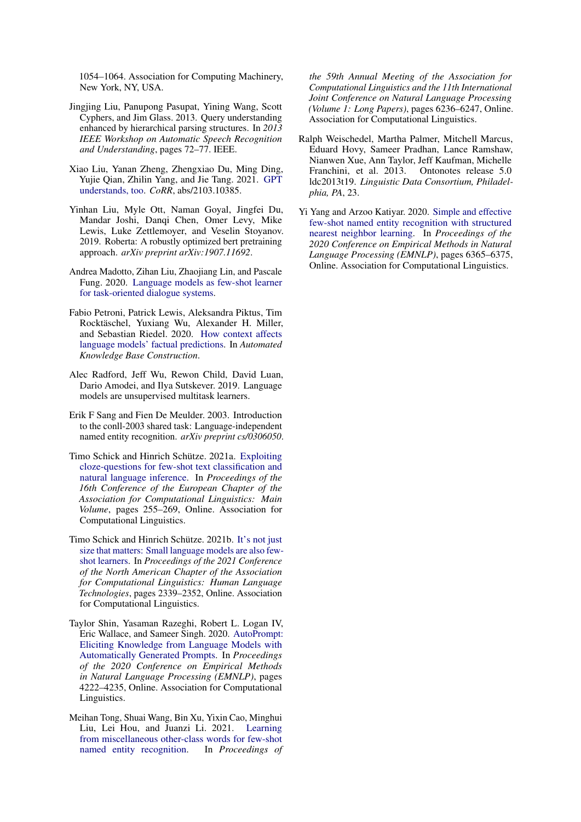1054–1064. Association for Computing Machinery, New York, NY, USA.

- <span id="page-9-7"></span>Jingjing Liu, Panupong Pasupat, Yining Wang, Scott Cyphers, and Jim Glass. 2013. Query understanding enhanced by hierarchical parsing structures. In *2013 IEEE Workshop on Automatic Speech Recognition and Understanding*, pages 72–77. IEEE.
- <span id="page-9-4"></span>Xiao Liu, Yanan Zheng, Zhengxiao Du, Ming Ding, Yujie Qian, Zhilin Yang, and Jie Tang. 2021. [GPT](http://arxiv.org/abs/2103.10385) [understands, too.](http://arxiv.org/abs/2103.10385) *CoRR*, abs/2103.10385.
- <span id="page-9-0"></span>Yinhan Liu, Myle Ott, Naman Goyal, Jingfei Du, Mandar Joshi, Danqi Chen, Omer Levy, Mike Lewis, Luke Zettlemoyer, and Veselin Stoyanov. 2019. Roberta: A robustly optimized bert pretraining approach. *arXiv preprint arXiv:1907.11692*.
- <span id="page-9-10"></span>Andrea Madotto, Zihan Liu, Zhaojiang Lin, and Pascale Fung. 2020. [Language models as few-shot learner](http://arxiv.org/abs/2008.06239) [for task-oriented dialogue systems.](http://arxiv.org/abs/2008.06239)
- <span id="page-9-11"></span>Fabio Petroni, Patrick Lewis, Aleksandra Piktus, Tim Rocktäschel, Yuxiang Wu, Alexander H. Miller, and Sebastian Riedel. 2020. [How context affects](https://openreview.net/forum?id=025X0zPfn) [language models' factual predictions.](https://openreview.net/forum?id=025X0zPfn) In *Automated Knowledge Base Construction*.
- <span id="page-9-9"></span>Alec Radford, Jeff Wu, Rewon Child, David Luan, Dario Amodei, and Ilya Sutskever. 2019. Language models are unsupervised multitask learners.
- <span id="page-9-5"></span>Erik F Sang and Fien De Meulder. 2003. Introduction to the conll-2003 shared task: Language-independent named entity recognition. *arXiv preprint cs/0306050*.
- <span id="page-9-1"></span>Timo Schick and Hinrich Schütze. 2021a. [Exploiting](https://doi.org/10.18653/v1/2021.eacl-main.20) [cloze-questions for few-shot text classification and](https://doi.org/10.18653/v1/2021.eacl-main.20) [natural language inference.](https://doi.org/10.18653/v1/2021.eacl-main.20) In *Proceedings of the 16th Conference of the European Chapter of the Association for Computational Linguistics: Main Volume*, pages 255–269, Online. Association for Computational Linguistics.
- <span id="page-9-2"></span>Timo Schick and Hinrich Schütze. 2021b. [It's not just](https://doi.org/10.18653/v1/2021.naacl-main.185) [size that matters: Small language models are also few](https://doi.org/10.18653/v1/2021.naacl-main.185)[shot learners.](https://doi.org/10.18653/v1/2021.naacl-main.185) In *Proceedings of the 2021 Conference of the North American Chapter of the Association for Computational Linguistics: Human Language Technologies*, pages 2339–2352, Online. Association for Computational Linguistics.
- <span id="page-9-3"></span>Taylor Shin, Yasaman Razeghi, Robert L. Logan IV, Eric Wallace, and Sameer Singh. 2020. [AutoPrompt:](https://doi.org/10.18653/v1/2020.emnlp-main.346) [Eliciting Knowledge from Language Models with](https://doi.org/10.18653/v1/2020.emnlp-main.346) [Automatically Generated Prompts.](https://doi.org/10.18653/v1/2020.emnlp-main.346) In *Proceedings of the 2020 Conference on Empirical Methods in Natural Language Processing (EMNLP)*, pages 4222–4235, Online. Association for Computational Linguistics.
- <span id="page-9-12"></span>Meihan Tong, Shuai Wang, Bin Xu, Yixin Cao, Minghui Liu, Lei Hou, and Juanzi Li. 2021. [Learning](https://doi.org/10.18653/v1/2021.acl-long.487) [from miscellaneous other-class words for few-shot](https://doi.org/10.18653/v1/2021.acl-long.487) [named entity recognition.](https://doi.org/10.18653/v1/2021.acl-long.487) In *Proceedings of*

*the 59th Annual Meeting of the Association for Computational Linguistics and the 11th International Joint Conference on Natural Language Processing (Volume 1: Long Papers)*, pages 6236–6247, Online. Association for Computational Linguistics.

- <span id="page-9-6"></span>Ralph Weischedel, Martha Palmer, Mitchell Marcus, Eduard Hovy, Sameer Pradhan, Lance Ramshaw, Nianwen Xue, Ann Taylor, Jeff Kaufman, Michelle Franchini, et al. 2013. Ontonotes release 5.0 ldc2013t19. *Linguistic Data Consortium, Philadelphia, PA*, 23.
- <span id="page-9-8"></span>Yi Yang and Arzoo Katiyar. 2020. [Simple and effective](https://doi.org/10.18653/v1/2020.emnlp-main.516) [few-shot named entity recognition with structured](https://doi.org/10.18653/v1/2020.emnlp-main.516) [nearest neighbor learning.](https://doi.org/10.18653/v1/2020.emnlp-main.516) In *Proceedings of the 2020 Conference on Empirical Methods in Natural Language Processing (EMNLP)*, pages 6365–6375, Online. Association for Computational Linguistics.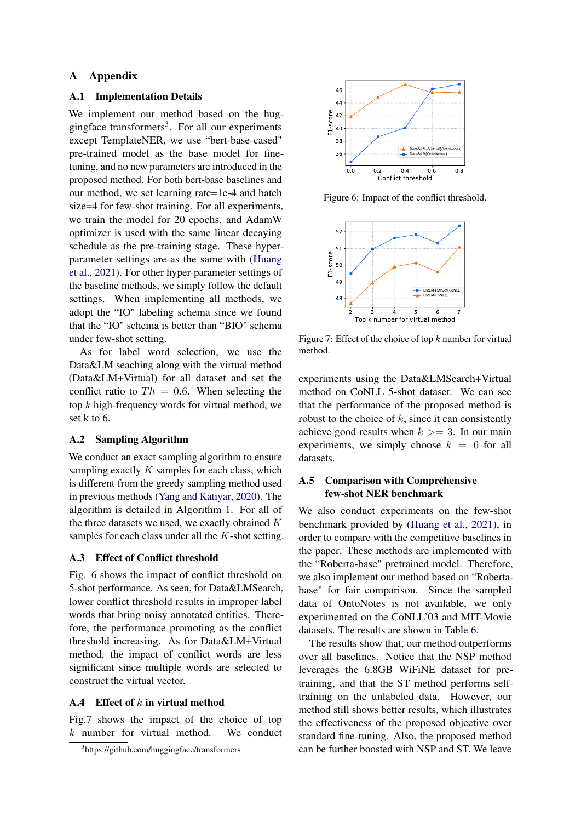# A Appendix

# <span id="page-10-1"></span>A.1 Implementation Details

We implement our method based on the hug-gingface transformers<sup>[3](#page-10-3)</sup>. For all our experiments except TemplateNER, we use "bert-base-cased" pre-trained model as the base model for finetuning, and no new parameters are introduced in the proposed method. For both bert-base baselines and our method, we set learning rate=1e-4 and batch size=4 for few-shot training. For all experiments, we train the model for 20 epochs, and AdamW optimizer is used with the same linear decaying schedule as the pre-training stage. These hyperparameter settings are as the same with [\(Huang](#page-8-15) [et al.,](#page-8-15) [2021\)](#page-8-15). For other hyper-parameter settings of the baseline methods, we simply follow the default settings. When implementing all methods, we adopt the "IO" labeling schema since we found that the "IO" schema is better than "BIO" schema under few-shot setting.

As for label word selection, we use the Data&LM seaching along with the virtual method (Data&LM+Virtual) for all dataset and set the conflict ratio to  $Th = 0.6$ . When selecting the top  $k$  high-frequency words for virtual method, we set k to 6.

### <span id="page-10-0"></span>A.2 Sampling Algorithm

We conduct an exact sampling algorithm to ensure sampling exactly  $K$  samples for each class, which is different from the greedy sampling method used in previous methods [\(Yang and Katiyar,](#page-9-8) [2020\)](#page-9-8). The algorithm is detailed in Algorithm [1.](#page-11-0) For all of the three datasets we used, we exactly obtained  $K$ samples for each class under all the K-shot setting.

### A.3 Effect of Conflict threshold

Fig. [6](#page-10-4) shows the impact of conflict threshold on 5-shot performance. As seen, for Data&LMSearch, lower conflict threshold results in improper label words that bring noisy annotated entities. Therefore, the performance promoting as the conflict threshold increasing. As for Data&LM+Virtual method, the impact of conflict words are less significant since multiple words are selected to construct the virtual vector.

# A.4 Effect of  $k$  in virtual method

Fig[.7](#page-10-5) shows the impact of the choice of top  $k$  number for virtual method. We conduct

<span id="page-10-4"></span>

<span id="page-10-5"></span>Figure 6: Impact of the conflict threshold.



Figure 7: Effect of the choice of top  $k$  number for virtual method.

experiments using the Data&LMSearch+Virtual method on CoNLL 5-shot dataset. We can see that the performance of the proposed method is robust to the choice of  $k$ , since it can consistently achieve good results when  $k \geq 3$ . In our main experiments, we simply choose  $k = 6$  for all datasets.

# <span id="page-10-2"></span>A.5 Comparison with Comprehensive few-shot NER benchmark

We also conduct experiments on the few-shot benchmark provided by [\(Huang et al.,](#page-8-15) [2021\)](#page-8-15), in order to compare with the competitive baselines in the paper. These methods are implemented with the "Roberta-base" pretrained model. Therefore, we also implement our method based on "Robertabase" for fair comparison. Since the sampled data of OntoNotes is not available, we only experimented on the CoNLL'03 and MIT-Movie datasets. The results are shown in Table [6.](#page-11-1)

The results show that, our method outperforms over all baselines. Notice that the NSP method leverages the 6.8GB WiFiNE dataset for pretraining, and that the ST method performs selftraining on the unlabeled data. However, our method still shows better results, which illustrates the effectiveness of the proposed objective over standard fine-tuning. Also, the proposed method can be further boosted with NSP and ST. We leave

<span id="page-10-3"></span><sup>3</sup> https://github.com/huggingface/transformers